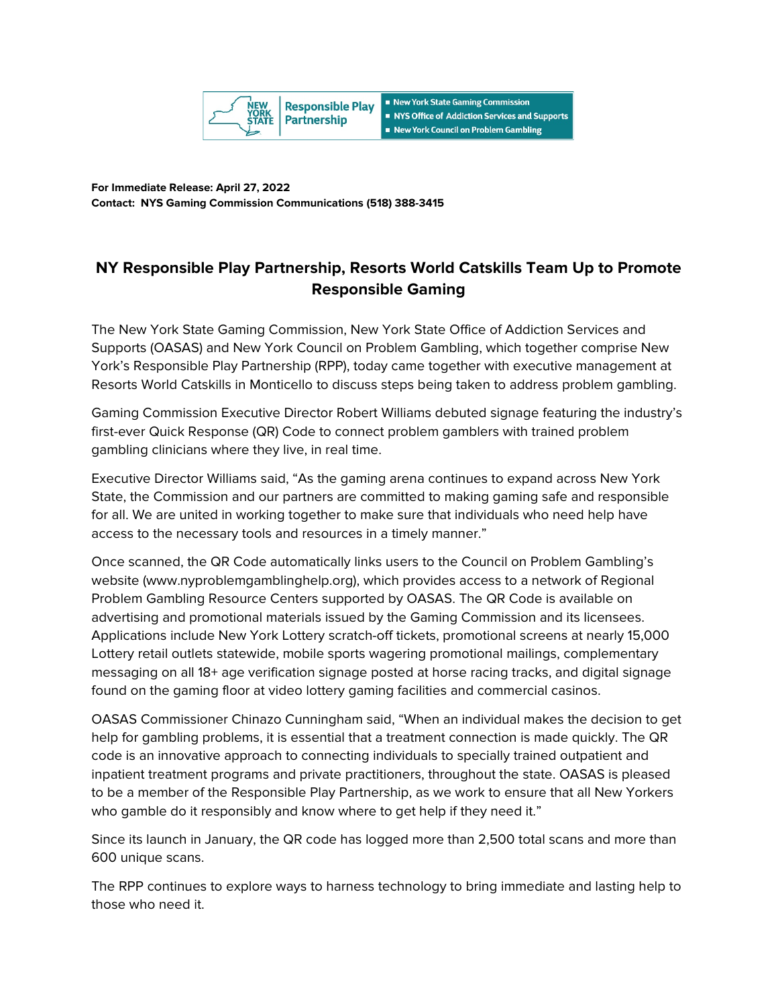

**For Immediate Release: April 27, 2022 Contact: NYS Gaming Commission Communications (518) 388-3415**

## **NY Responsible Play Partnership, Resorts World Catskills Team Up to Promote Responsible Gaming**

The New York State Gaming Commission, New York State Office of Addiction Services and Supports (OASAS) and New York Council on Problem Gambling, which together comprise New York's Responsible Play Partnership (RPP), today came together with executive management at Resorts World Catskills in Monticello to discuss steps being taken to address problem gambling.

Gaming Commission Executive Director Robert Williams debuted signage featuring the industry's first-ever Quick Response (QR) Code to connect problem gamblers with trained problem gambling clinicians where they live, in real time.

Executive Director Williams said, "As the gaming arena continues to expand across New York State, the Commission and our partners are committed to making gaming safe and responsible for all. We are united in working together to make sure that individuals who need help have access to the necessary tools and resources in a timely manner."

Once scanned, the QR Code automatically links users to the Council on Problem Gambling's website (www.nyproblemgamblinghelp.org), which provides access to a network of Regional Problem Gambling Resource Centers supported by OASAS. The QR Code is available on advertising and promotional materials issued by the Gaming Commission and its licensees. Applications include New York Lottery scratch-off tickets, promotional screens at nearly 15,000 Lottery retail outlets statewide, mobile sports wagering promotional mailings, complementary messaging on all 18+ age verification signage posted at horse racing tracks, and digital signage found on the gaming floor at video lottery gaming facilities and commercial casinos.

OASAS Commissioner Chinazo Cunningham said, "When an individual makes the decision to get help for gambling problems, it is essential that a treatment connection is made quickly. The QR code is an innovative approach to connecting individuals to specially trained outpatient and inpatient treatment programs and private practitioners, throughout the state. OASAS is pleased to be a member of the Responsible Play Partnership, as we work to ensure that all New Yorkers who gamble do it responsibly and know where to get help if they need it."

Since its launch in January, the QR code has logged more than 2,500 total scans and more than 600 unique scans.

The RPP continues to explore ways to harness technology to bring immediate and lasting help to those who need it.